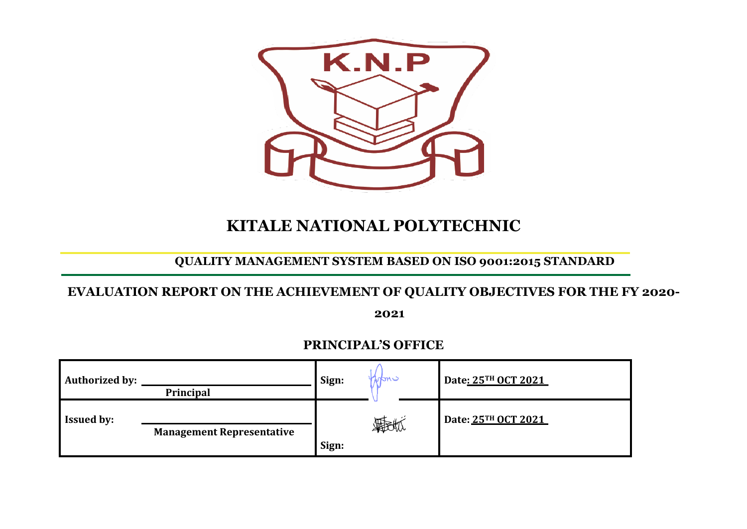

# **KITALE NATIONAL POLYTECHNIC**

# **QUALITY MANAGEMENT SYSTEM BASED ON ISO 9001:2015 STANDARD**

## **EVALUATION REPORT ON THE ACHIEVEMENT OF QUALITY OBJECTIVES FOR THE FY 2020-**

**2021**

## **PRINCIPAL'S OFFICE**

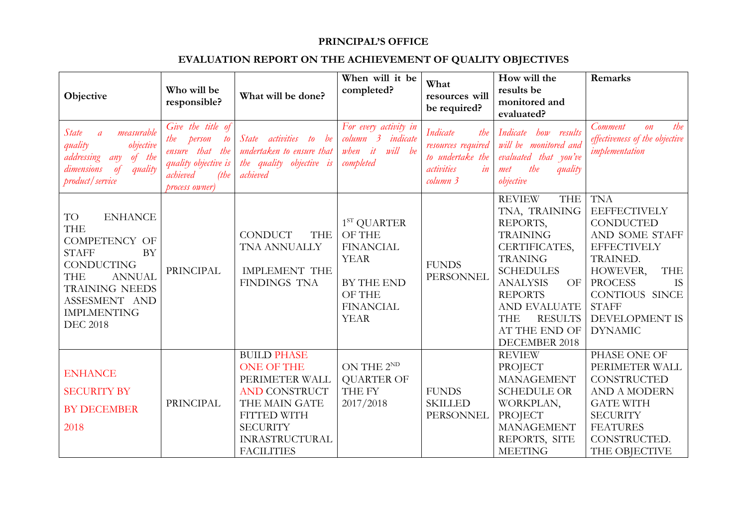#### **PRINCIPAL'S OFFICE**

#### **EVALUATION REPORT ON THE ACHIEVEMENT OF QUALITY OBJECTIVES**

| Objective                                                                                                                                                                                                                      | Who will be<br>responsible?                                                                                               | What will be done?                                                                                                                                                                        | When will it be<br>completed?                                                                                         | What<br>resources will<br>be required?                                                           | How will the<br>results be<br>monitored and<br>evaluated?                                                                                                                                                                                                       | Remarks                                                                                                                                                                                                                                  |
|--------------------------------------------------------------------------------------------------------------------------------------------------------------------------------------------------------------------------------|---------------------------------------------------------------------------------------------------------------------------|-------------------------------------------------------------------------------------------------------------------------------------------------------------------------------------------|-----------------------------------------------------------------------------------------------------------------------|--------------------------------------------------------------------------------------------------|-----------------------------------------------------------------------------------------------------------------------------------------------------------------------------------------------------------------------------------------------------------------|------------------------------------------------------------------------------------------------------------------------------------------------------------------------------------------------------------------------------------------|
| measurable<br><i>State</i><br>$\overline{a}$<br>objective<br>quality<br>of the<br>addressing<br>any<br>dimensions<br>$\theta$<br>quality<br>product / service                                                                  | Give the title of<br>person<br>the<br>to<br>ensure that the<br>quality objective is<br>achieved<br>(tbe<br>process owner) | State activities to be<br>undertaken to ensure that<br>the quality objective is<br>achieved                                                                                               | For every activity in<br>column 3 indicate<br>will be<br>when it<br>completed                                         | Indicate<br>the<br>resources required<br>to undertake the<br>in<br><i>activities</i><br>column 3 | Indicate how results<br>will be monitored and<br>evaluated that you've<br>the<br>quality<br>met<br>objective                                                                                                                                                    | the<br>Comment<br>$\mathfrak{O}n$<br>effectiveness of the objective<br><i>implementation</i>                                                                                                                                             |
| <b>ENHANCE</b><br>TO<br><b>THE</b><br><b>COMPETENCY OF</b><br><b>BY</b><br><b>STAFF</b><br><b>CONDUCTING</b><br><b>THE</b><br><b>ANNUAL</b><br><b>TRAINING NEEDS</b><br>ASSESMENT AND<br><b>IMPLMENTING</b><br><b>DEC 2018</b> | <b>PRINCIPAL</b>                                                                                                          | <b>CONDUCT</b><br><b>THE</b><br>TNA ANNUALLY<br><b>IMPLEMENT THE</b><br><b>FINDINGS TNA</b>                                                                                               | $1ST$ QUARTER<br>OF THE<br><b>FINANCIAL</b><br><b>YEAR</b><br>BY THE END<br>OF THE<br><b>FINANCIAL</b><br><b>YEAR</b> | <b>FUNDS</b><br>PERSONNEL                                                                        | <b>REVIEW</b><br><b>THE</b><br>TNA, TRAINING<br>REPORTS,<br><b>TRAINING</b><br>CERTIFICATES,<br><b>TRANING</b><br><b>SCHEDULES</b><br><b>ANALYSIS</b><br>OF<br><b>REPORTS</b><br>AND EVALUATE<br><b>THE</b><br><b>RESULTS</b><br>AT THE END OF<br>DECEMBER 2018 | <b>TNA</b><br><b>EEFFECTIVELY</b><br><b>CONDUCTED</b><br>AND SOME STAFF<br><b>EFFECTIVELY</b><br>TRAINED.<br><b>THE</b><br>HOWEVER,<br><b>PROCESS</b><br><b>IS</b><br>CONTIOUS SINCE<br><b>STAFF</b><br>DEVELOPMENT IS<br><b>DYNAMIC</b> |
| <b>ENHANCE</b><br><b>SECURITY BY</b><br><b>BY DECEMBER</b><br>2018                                                                                                                                                             | <b>PRINCIPAL</b>                                                                                                          | <b>BUILD PHASE</b><br><b>ONE OF THE</b><br>PERIMETER WALL<br><b>AND CONSTRUCT</b><br>THE MAIN GATE<br><b>FITTED WITH</b><br><b>SECURITY</b><br><b>INRASTRUCTURAL</b><br><b>FACILITIES</b> | ON THE $2^{ND}$<br><b>QUARTER OF</b><br>THE FY<br>2017/2018                                                           | <b>FUNDS</b><br><b>SKILLED</b><br>PERSONNEL                                                      | <b>REVIEW</b><br><b>PROJECT</b><br><b>MANAGEMENT</b><br><b>SCHEDULE OR</b><br>WORKPLAN,<br>PROJECT<br><b>MANAGEMENT</b><br>REPORTS, SITE<br><b>MEETING</b>                                                                                                      | PHASE ONE OF<br>PERIMETER WALL<br>CONSTRUCTED<br><b>AND A MODERN</b><br><b>GATE WITH</b><br><b>SECURITY</b><br><b>FEATURES</b><br>CONSTRUCTED.<br>THE OBJECTIVE                                                                          |